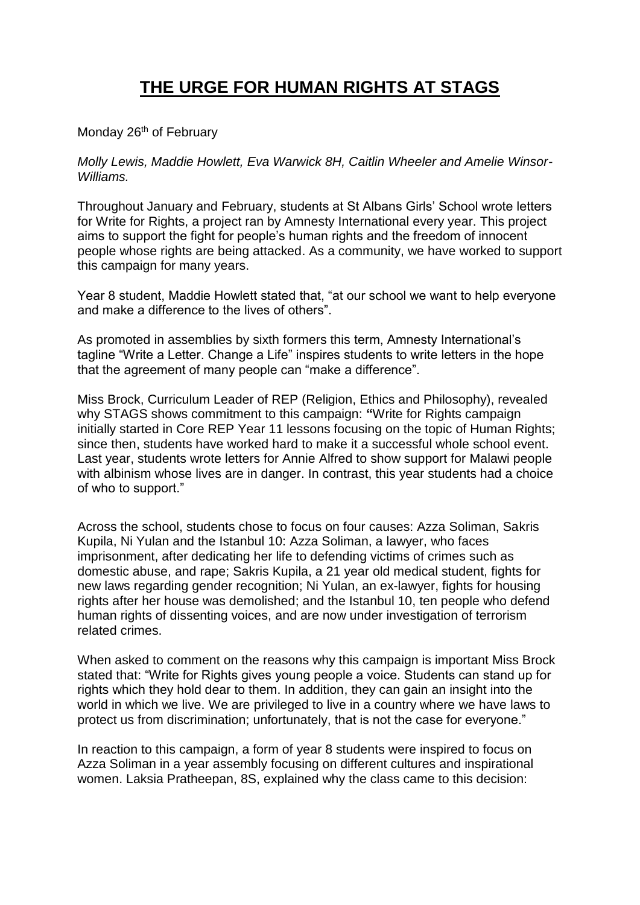## **THE URGE FOR HUMAN RIGHTS AT STAGS**

Monday 26<sup>th</sup> of February

*Molly Lewis, Maddie Howlett, Eva Warwick 8H, Caitlin Wheeler and Amelie Winsor-Williams.*

Throughout January and February, students at St Albans Girls' School wrote letters for Write for Rights, a project ran by Amnesty International every year. This project aims to support the fight for people's human rights and the freedom of innocent people whose rights are being attacked. As a community, we have worked to support this campaign for many years.

Year 8 student, Maddie Howlett stated that, "at our school we want to help everyone and make a difference to the lives of others".

As promoted in assemblies by sixth formers this term, Amnesty International's tagline "Write a Letter. Change a Life" inspires students to write letters in the hope that the agreement of many people can "make a difference".

Miss Brock, Curriculum Leader of REP (Religion, Ethics and Philosophy), revealed why STAGS shows commitment to this campaign: **"**Write for Rights campaign initially started in Core REP Year 11 lessons focusing on the topic of Human Rights; since then, students have worked hard to make it a successful whole school event. Last year, students wrote letters for Annie Alfred to show support for Malawi people with albinism whose lives are in danger. In contrast, this year students had a choice of who to support."

Across the school, students chose to focus on four causes: Azza Soliman, Sakris Kupila, Ni Yulan and the Istanbul 10: Azza Soliman, a lawyer, who faces imprisonment, after dedicating her life to defending victims of crimes such as domestic abuse, and rape; Sakris Kupila, a 21 year old medical student, fights for new laws regarding gender recognition; Ni Yulan, an ex-lawyer, fights for housing rights after her house was demolished; and the Istanbul 10, ten people who defend human rights of dissenting voices, and are now under investigation of terrorism related crimes.

When asked to comment on the reasons why this campaign is important Miss Brock stated that: "Write for Rights gives young people a voice. Students can stand up for rights which they hold dear to them. In addition, they can gain an insight into the world in which we live. We are privileged to live in a country where we have laws to protect us from discrimination; unfortunately, that is not the case for everyone."

In reaction to this campaign, a form of year 8 students were inspired to focus on Azza Soliman in a year assembly focusing on different cultures and inspirational women. Laksia Pratheepan, 8S, explained why the class came to this decision: